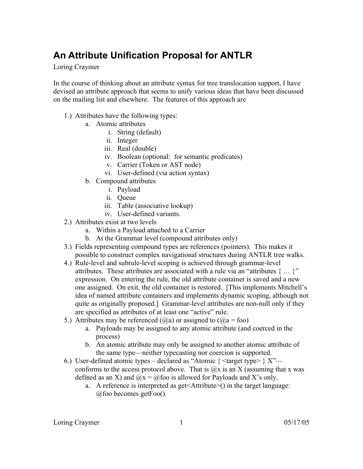# **An Attribute Unification Proposal for ANTLR**

Loring Craymer

In the course of thinking about an attribute syntax for tree translocation support, I have devised an attribute approach that seems to unify various ideas that have been discussed on the mailing list and elsewhere. The features of this approach are

- 1.) Attributes have the following types:
	- a. Atomic attributes
		- i. String (default)
		- ii. Integer
		- iii. Real (double)
		- iv. Boolean (optional: for semantic predicates)
		- v. Carrier (Token or AST node)
		- vi. User-defined (via action syntax)
	- b. Compound attributes
		- i. Payload
		- ii. Queue
		- iii. Table (associative lookup)
		- iv. User-defined variants.
- 2.) Attributes exist at two levels
	- a. Within a Payload attached to a Carrier
	- b. At the Grammar level (compound attributes only)
- 3.) Fields representing compound types are references (pointers). This makes it possible to construct complex navigational structures during ANTLR tree walks.
- 4.) Rule-level and subrule-level scoping is achieved through grammar-level attributes. These attributes are associated with a rule via an "attributes { … }" expression. On entering the rule, the old attribute container is saved and a new one assigned. On exit, the old container is restored. [This implements Mitchell's idea of named attribute containers and implements dynamic scoping, although not quite as originally proposed.] Grammar-level attributes are non-null only if they are specified as attributes of at least one "active" rule.
- 5.) Attributes may be referenced  $(Qa)$  or assigned to  $(Qa = foo)$ 
	- a. Payloads may be assigned to any atomic attribute (and coerced in the process)
	- b. An atomic attribute may only be assigned to another atomic attribute of the same type—neither typecasting nor coercion is supported.
- 6.) User-defined atomic types declared as "Atomic  $\{\langle \text{target type} \rangle \}$  X" conforms to the access protocol above. That is  $\hat{\omega}$ x is an X (assuming that x was defined as an X) and  $\overline{Q}x = \overline{Q}$  foo is allowed for Payloads and X's only.
	- a. A reference is interpreted as get<Attribute>() in the target language: @foo becomes getFoo().

Loring Craymer 1 05/17/05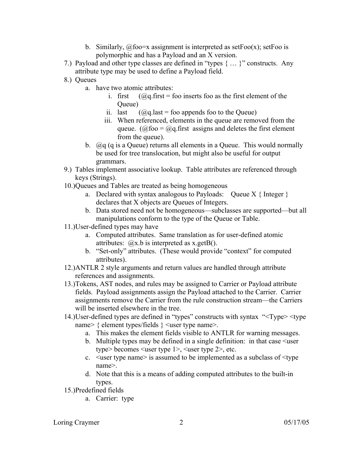- b. Similarly,  $\omega$  foo=x assignment is interpreted as setFoo(x); setFoo is polymorphic and has a Payload and an X version.
- 7.) Payload and other type classes are defined in "types { … }" constructs. Any attribute type may be used to define a Payload field.
- 8.) Queues
	- a. have two atomic attributes:
		- i. first  $(Qq, \text{first} = \text{foo} \text{ inserts} \text{foo} \text{ as the first element of the})$ Queue)
		- ii. last  $(Qq \cdot last = foo$  appends foo to the Queue)
		- iii. When referenced, elements in the queue are removed from the queue. ( $\hat{\omega}$ foo =  $\hat{\omega}$ g first assigns and deletes the first element from the queue).
	- b. @q (q is a Queue) returns all elements in a Queue. This would normally be used for tree translocation, but might also be useful for output grammars.
- 9.) Tables implement associative lookup. Table attributes are referenced through keys (Strings).
- 10.)Queues and Tables are treated as being homogeneous
	- a. Declared with syntax analogous to Payloads: Queue  $X \{ \text{Integer } \}$ declares that X objects are Queues of Integers.
	- b. Data stored need not be homogeneous—subclasses are supported—but all manipulations conform to the type of the Queue or Table.
- 11.)User-defined types may have
	- a. Computed attributes. Same translation as for user-defined atomic attributes:  $\omega$ x b is interpreted as x getB().
	- b. "Set-only" attributes. (These would provide "context" for computed attributes).
- 12.)ANTLR 2 style arguments and return values are handled through attribute references and assignments.
- 13.)Tokens, AST nodes, and rules may be assigned to Carrier or Payload attribute fields. Payload assignments assign the Payload attached to the Carrier. Carrier assignments remove the Carrier from the rule construction stream—the Carriers will be inserted elsewhere in the tree.
- 14.)User-defined types are defined in "types" constructs with syntax "<Type> <type name> { element types/fields } <user type name>.
	- a. This makes the element fields visible to ANTLR for warning messages.
	- b. Multiple types may be defined in a single definition: in that case  $\leq$ user type> becomes <user type 1>, <user type 2>, etc.
	- c.  $\leq$ user type name> is assumed to be implemented as a subclass of  $\leq$ type name>.
	- d. Note that this is a means of adding computed attributes to the built-in types.
- 15.)Predefined fields
	- a. Carrier: type

Loring Craymer 2 05/17/05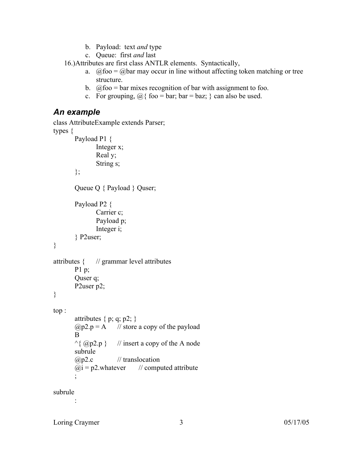- b. Payload: text *and* type
- c. Queue: first *and* last

16.)Attributes are first class ANTLR elements. Syntactically,

- a.  $\hat{\omega}$  foo =  $\hat{\omega}$  bar may occur in line without affecting token matching or tree structure.
- b.  $\omega$  foo = bar mixes recognition of bar with assignment to foo.
- c. For grouping,  $\omega_i$  foo = bar; bar = baz; } can also be used.

#### *An example*

```
class AttributeExample extends Parser;
types {
       Payload P1 {
               Integer x;
               Real y;
               String s;
       };
       Queue Q { Payload } Quser;
       Payload P2 {
               Carrier c;
               Payload p;
               Integer i;
       } P2user;
}
attributes { // grammar level attributes
       P1 p;
       Quser q;
       P<sub>2</sub>user p<sub>2</sub>;
}
top :
       attributes { p; q; p2; }
       (Qp2.p = A // store a copy of the payload
       B
       \land { @p2.p } // insert a copy of the A node
       subrule
       (a)p2.c // translocation
       \omegai = p2.whatever // computed attribute
       ;
subrule
```
Loring Craymer 3 05/17/05

: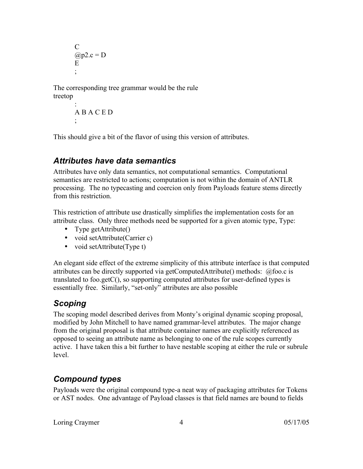$\mathcal{C}$  $(a)$ <sub>p</sub>2.c = D E ;

The corresponding tree grammar would be the rule treetop

```
:
A B A C E D
;
```
This should give a bit of the flavor of using this version of attributes.

### *Attributes have data semantics*

Attributes have only data semantics, not computational semantics. Computational semantics are restricted to actions; computation is not within the domain of ANTLR processing. The no typecasting and coercion only from Payloads feature stems directly from this restriction.

This restriction of attribute use drastically simplifies the implementation costs for an attribute class. Only three methods need be supported for a given atomic type, Type:

- Type getAttribute()
- void setAttribute(Carrier c)
- void setAttribute(Type t)

An elegant side effect of the extreme simplicity of this attribute interface is that computed attributes can be directly supported via getComputedAttribute() methods: @foo.c is translated to foo.getC(), so supporting computed attributes for user-defined types is essentially free. Similarly, "set-only" attributes are also possible

# *Scoping*

The scoping model described derives from Monty's original dynamic scoping proposal, modified by John Mitchell to have named grammar-level attributes. The major change from the original proposal is that attribute container names are explicitly referenced as opposed to seeing an attribute name as belonging to one of the rule scopes currently active. I have taken this a bit further to have nestable scoping at either the rule or subrule level.

# *Compound types*

Payloads were the original compound type-a neat way of packaging attributes for Tokens or AST nodes. One advantage of Payload classes is that field names are bound to fields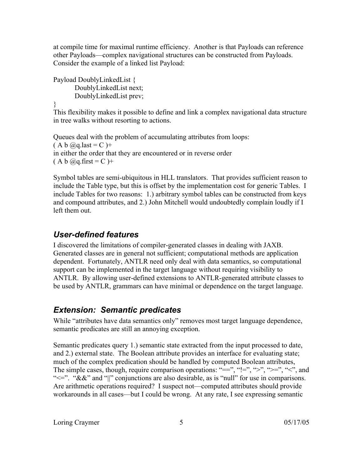at compile time for maximal runtime efficiency. Another is that Payloads can reference other Payloads—complex navigational structures can be constructed from Payloads. Consider the example of a linked list Payload:

```
Payload DoublyLinkedList {
      DoublyLinkedList next;
      DoublyLinkedList prev;
```
}

This flexibility makes it possible to define and link a complex navigational data structure in tree walks without resorting to actions.

Queues deal with the problem of accumulating attributes from loops:  $(A b @q. last = C) +$ in either the order that they are encountered or in reverse order  $(A b @q.first = C)$ +

Symbol tables are semi-ubiquitous in HLL translators. That provides sufficient reason to include the Table type, but this is offset by the implementation cost for generic Tables. I include Tables for two reasons: 1.) arbitrary symbol tables can be constructed from keys and compound attributes, and 2.) John Mitchell would undoubtedly complain loudly if I left them out.

### *User-defined features*

I discovered the limitations of compiler-generated classes in dealing with JAXB. Generated classes are in general not sufficient; computational methods are application dependent. Fortunately, ANTLR need only deal with data semantics, so computational support can be implemented in the target language without requiring visibility to ANTLR. By allowing user-defined extensions to ANTLR-generated attribute classes to be used by ANTLR, grammars can have minimal or dependence on the target language.

# *Extension: Semantic predicates*

While "attributes have data semantics only" removes most target language dependence, semantic predicates are still an annoying exception.

Semantic predicates query 1.) semantic state extracted from the input processed to date, and 2.) external state. The Boolean attribute provides an interface for evaluating state; much of the complex predication should be handled by computed Boolean attributes, The simple cases, though, require comparison operations: "==", "!=", ">", ">=", "<", and " $\ll$  =". " $\&\&$ " and "|" conjunctions are also desirable, as is "null" for use in comparisons. Are arithmetic operations required? I suspect not—computed attributes should provide workarounds in all cases—but I could be wrong. At any rate, I see expressing semantic

Loring Craymer 5 05/17/05